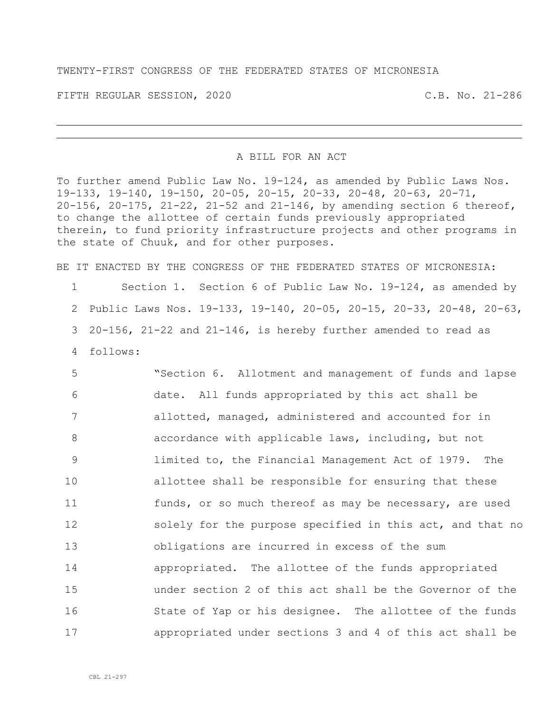TWENTY-FIRST CONGRESS OF THE FEDERATED STATES OF MICRONESIA

FIFTH REGULAR SESSION, 2020 C.B. No. 21-286

## A BILL FOR AN ACT

To further amend Public Law No. 19-124, as amended by Public Laws Nos. 19-133, 19-140, 19-150, 20-05, 20-15, 20-33, 20-48, 20-63, 20-71, 20-156, 20-175, 21-22, 21-52 and 21-146, by amending section 6 thereof, to change the allottee of certain funds previously appropriated therein, to fund priority infrastructure projects and other programs in the state of Chuuk, and for other purposes.

BE IT ENACTED BY THE CONGRESS OF THE FEDERATED STATES OF MICRONESIA:

 Section 1. Section 6 of Public Law No. 19-124, as amended by Public Laws Nos. 19-133, 19-140, 20-05, 20-15, 20-33, 20-48, 20-63, 20-156, 21-22 and 21-146, is hereby further amended to read as 4 follows:

 "Section 6. Allotment and management of funds and lapse date. All funds appropriated by this act shall be allotted, managed, administered and accounted for in accordance with applicable laws, including, but not limited to, the Financial Management Act of 1979. The allottee shall be responsible for ensuring that these 11 funds, or so much thereof as may be necessary, are used 12 solely for the purpose specified in this act, and that no obligations are incurred in excess of the sum appropriated. The allottee of the funds appropriated under section 2 of this act shall be the Governor of the 16 State of Yap or his designee. The allottee of the funds appropriated under sections 3 and 4 of this act shall be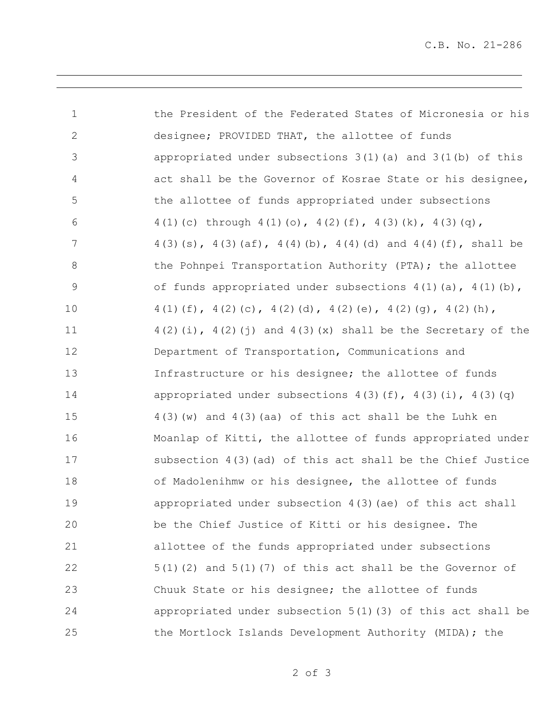C.B. No. 21-286

| $\mathbf 1$     | the President of the Federated States of Micronesia or his              |
|-----------------|-------------------------------------------------------------------------|
| $\mathbf{2}$    | designee; PROVIDED THAT, the allottee of funds                          |
| 3               | appropriated under subsections $3(1)$ (a) and $3(1(b))$ of this         |
| $\overline{4}$  | act shall be the Governor of Kosrae State or his designee,              |
| 5               | the allottee of funds appropriated under subsections                    |
| 6               | 4(1)(c) through 4(1)(o), 4(2)(f), 4(3)(k), 4(3)(q),                     |
| $7\phantom{.0}$ | $4(3)(s)$ , $4(3)(af)$ , $4(4)(b)$ , $4(4)(d)$ and $4(4)(f)$ , shall be |
| $8\,$           | the Pohnpei Transportation Authority (PTA); the allottee                |
| $\mathsf 9$     | of funds appropriated under subsections $4(1)(a)$ , $4(1)(b)$ ,         |
| 10              | $4(1)(f), 4(2)(c), 4(2)(d), 4(2)(e), 4(2)(g), 4(2)(h),$                 |
| 11              | $4(2)(i)$ , $4(2)(j)$ and $4(3)(x)$ shall be the Secretary of the       |
| 12              | Department of Transportation, Communications and                        |
| 13              | Infrastructure or his designee; the allottee of funds                   |
| 14              | appropriated under subsections $4(3)(f)$ , $4(3)(i)$ , $4(3)(q)$        |
| 15              | $4(3)$ (w) and $4(3)$ (aa) of this act shall be the Luhk en             |
| 16              | Moanlap of Kitti, the allottee of funds appropriated under              |
| 17              | subsection $4(3)$ (ad) of this act shall be the Chief Justice           |
| 18              | of Madolenihmw or his designee, the allottee of funds                   |
| 19              | appropriated under subsection 4(3) (ae) of this act shall               |
| 20              | be the Chief Justice of Kitti or his designee. The                      |
| 21              | allottee of the funds appropriated under subsections                    |
| 22              | $5(1)(2)$ and $5(1)(7)$ of this act shall be the Governor of            |
| 23              | Chuuk State or his designee; the allottee of funds                      |
| 24              | appropriated under subsection $5(1)(3)$ of this act shall be            |
| 25              | the Mortlock Islands Development Authority (MIDA); the                  |

of 3